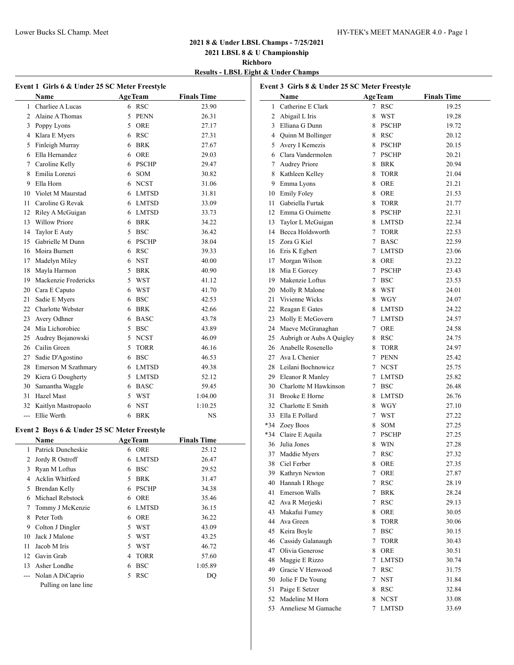# **2021 8 & Under LBSL Champs - 7/25/2021 2021 LBSL 8 & U Championship**

**Richboro**

**Results - LBSL Eight & Under Champs**

| Event 1 Girls 6 & Under 25 SC Meter Freestyle |                                              |   |                |                    |  |  |
|-----------------------------------------------|----------------------------------------------|---|----------------|--------------------|--|--|
|                                               | Name                                         |   | <b>AgeTeam</b> | <b>Finals Time</b> |  |  |
| 1                                             | Charliee A Lucas                             | 6 | <b>RSC</b>     | 23.90              |  |  |
|                                               | 2 Alaine A Thomas                            |   | 5 PENN         | 26.31              |  |  |
|                                               | 3 Poppy Lyons                                |   | 5 ORE          | 27.17              |  |  |
|                                               | 4 Klara E Myers                              |   | 6 RSC          | 27.31              |  |  |
|                                               | 5 Finleigh Murray                            |   | 6 BRK          | 27.67              |  |  |
|                                               | 6 Ella Hernandez                             |   | 6 ORE          | 29.03              |  |  |
|                                               | 7 Caroline Kelly                             |   | 6 PSCHP        | 29.47              |  |  |
|                                               | 8 Emilia Lorenzi                             |   | 6 SOM          | 30.82              |  |  |
| 9.                                            | Ella Horn                                    |   | 6 NCST         | 31.06              |  |  |
| 10                                            | Violet M Maurstad                            |   | 6 LMTSD        | 31.81              |  |  |
| 11                                            | Caroline G Revak                             |   | 6 LMTSD        | 33.09              |  |  |
|                                               | 12 Riley A McGuigan                          |   | 6 LMTSD        | 33.73              |  |  |
| 13                                            | <b>Willow Priore</b>                         |   | 6 BRK          | 34.22              |  |  |
| 14                                            | Taylor E Auty                                |   | 5 BSC          | 36.42              |  |  |
|                                               | 15 Gabrielle M Dunn                          |   | 6 PSCHP        | 38.04              |  |  |
|                                               | 16 Moira Burnett                             |   | 6 RSC          | 39.33              |  |  |
|                                               | 17 Madelyn Miley                             |   | 6 NST          | 40.00              |  |  |
| 18                                            | Mayla Harmon                                 |   | 5 BRK          | 40.90              |  |  |
|                                               | 19 Mackenzie Fredericks                      |   | 5 WST          | 41.12              |  |  |
|                                               | 20 Cara E Caputo                             |   | 6 WST          | 41.70              |  |  |
| 21                                            | Sadie E Myers                                |   | 6 BSC          | 42.53              |  |  |
|                                               | 22 Charlotte Webster                         |   | 6 BRK          | 42.66              |  |  |
|                                               |                                              |   | 6 BASC         | 43.78              |  |  |
|                                               | 23 Avery Odhner                              |   |                |                    |  |  |
|                                               | 24 Mia Lichorobiec                           |   | 5 BSC          | 43.89              |  |  |
|                                               | 25 Audrey Bojanowski                         |   | 5 NCST         | 46.09              |  |  |
|                                               | 26 Cailin Green                              |   | 5 TORR         | 46.16              |  |  |
|                                               | 27 Sadie D'Agostino                          |   | 6 BSC          | 46.53              |  |  |
|                                               | 28 Emerson M Szathmary                       |   | 6 LMTSD        | 49.38              |  |  |
|                                               | 29 Kiera G Dougherty                         |   | 5 LMTSD        | 52.12              |  |  |
|                                               | 30 Samantha Waggle                           |   | 6 BASC         | 59.45              |  |  |
|                                               | 31 Hazel Mast                                |   | 5 WST          | 1:04.00            |  |  |
|                                               | 32 Kaitlyn Mastropaolo                       |   | 6 NST          | 1:10.25            |  |  |
|                                               | --- Ellie Werth                              | 6 | <b>BRK</b>     | NS                 |  |  |
|                                               | Event 2 Boys 6 & Under 25 SC Meter Freestyle |   |                |                    |  |  |
|                                               | Name                                         |   | <b>AgeTeam</b> | <b>Finals Time</b> |  |  |
| 1                                             | Patrick Duncheskie                           | 6 | ORE            | 25.12              |  |  |
|                                               | 2 Jordy R Ostroff                            |   | 6 LMTSD        | 26.47              |  |  |
| 3                                             | Ryan M Loftus                                |   | 6 BSC          | 29.52              |  |  |
|                                               | 4 Acklin Whitford                            |   | 5 BRK          | 31.47              |  |  |
|                                               | 5 Brendan Kelly                              |   | 6 PSCHP        | 34.38              |  |  |
|                                               | 6 Michael Rebstock                           |   | 6 ORE          | 35.46              |  |  |
| 7                                             | Tommy J McKenzie                             |   | 6 LMTSD        | 36.15              |  |  |
| 8                                             | Peter Toth                                   |   | 6 ORE          | 36.22              |  |  |
| 9                                             | Colton J Dingler                             |   | 5 WST          | 43.09              |  |  |
| 10                                            | Jack J Malone                                |   | 5 WST          | 43.25              |  |  |
| 11                                            | Jacob M Iris                                 |   | 5 WST          | 46.72              |  |  |
| 12                                            | Gavin Grab                                   |   | 4 TORR         | 57.60              |  |  |
| 13                                            | Asher Londhe                                 | 6 | <b>BSC</b>     | 1:05.89            |  |  |
| $\sim$                                        | Nolan A DiCaprio                             | 5 | <b>RSC</b>     | DQ                 |  |  |
|                                               | Pulling on lane line                         |   |                |                    |  |  |

| Event 3 Girls 8 & Under 25 SC Meter Freestyle |                           |             |                |                    |  |
|-----------------------------------------------|---------------------------|-------------|----------------|--------------------|--|
|                                               | Name                      |             | <b>AgeTeam</b> | <b>Finals Time</b> |  |
| 1                                             | Catherine E Clark         | 7           | <b>RSC</b>     | 19.25              |  |
|                                               | 2 Abigail L Iris          | 8           | WST            | 19.28              |  |
|                                               | 3 Elliana G Dunn          | 8           | <b>PSCHP</b>   | 19.72              |  |
|                                               | 4 Quinn M Bollinger       | 8           | <b>RSC</b>     | 20.12              |  |
|                                               | 5 Avery I Kemezis         |             | 8 PSCHP        | 20.15              |  |
|                                               | 6 Clara Vandermolen       | $\tau$      | <b>PSCHP</b>   | 20.21              |  |
|                                               | 7 Audrey Priore           | 8           | <b>BRK</b>     | 20.94              |  |
|                                               | 8 Kathleen Kelley         | 8           | <b>TORR</b>    | 21.04              |  |
|                                               | 9 Emma Lyons              | 8           | <b>ORE</b>     | 21.21              |  |
|                                               | 10 Emily Foley            | 8           | <b>ORE</b>     | 21.53              |  |
| 11 -                                          | Gabriella Furtak          | 8           | <b>TORR</b>    | 21.77              |  |
|                                               | 12 Emma G Ouimette        | 8           | <b>PSCHP</b>   | 22.31              |  |
| 13                                            | Taylor L McGuigan         | 8           | LMTSD          | 22.34              |  |
|                                               | 14 Becca Holdsworth       | 7           | <b>TORR</b>    | 22.53              |  |
|                                               | 15 Zora G Kiel            | 7           | <b>BASC</b>    | 22.59              |  |
|                                               | 16 Eris K Egbert          | $\tau$      | LMTSD          | 23.06              |  |
|                                               | 17 Morgan Wilson          |             | 8 ORE          | 23.22              |  |
|                                               | 18 Mia E Gorcey           | $\tau$      | <b>PSCHP</b>   | 23.43              |  |
|                                               | 19 Makenzie Loftus        | 7           | <b>BSC</b>     | 23.53              |  |
|                                               |                           | 8           |                |                    |  |
|                                               | 20 Molly R Malone         |             | WST            | 24.01              |  |
|                                               | 21 Vivienne Wicks         | 8           | <b>WGY</b>     | 24.07              |  |
|                                               | 22 Reagan E Gates         | 8           | <b>LMTSD</b>   | 24.22              |  |
|                                               | 23 Molly E McGovern       | $\tau$      | <b>LMTSD</b>   | 24.57              |  |
|                                               | 24 Maeve McGranaghan      | 7           | ORE            | 24.58              |  |
| 25                                            | Aubrigh or Aubs A Quigley | 8           | <b>RSC</b>     | 24.75              |  |
|                                               | 26 Anabelle Rosenello     | 8           | <b>TORR</b>    | 24.97              |  |
|                                               | 27 Ava L Chenier          | 7           | <b>PENN</b>    | 25.42              |  |
|                                               | 28 Leilani Bochnowicz     | $7^{\circ}$ | <b>NCST</b>    | 25.75              |  |
|                                               | 29 Eleanor R Manley       | $\tau$      | LMTSD          | 25.82              |  |
|                                               | 30 Charlotte M Hawkinson  | 7           | <b>BSC</b>     | 26.48              |  |
|                                               | 31 Brooke E Horne         | 8           | <b>LMTSD</b>   | 26.76              |  |
|                                               | 32 Charlotte E Smith      | 8           | WGY            | 27.10              |  |
|                                               | 33 Ella E Pollard         | $\tau$      | WST            | 27.22              |  |
|                                               | *34 Zoey Boos             | 8           | SOM            | 27.25              |  |
|                                               | *34 Claire E Aquila       | 7           | <b>PSCHP</b>   | 27.25              |  |
| 36                                            | Julia Jones               | 8           | WIN            | 27.28              |  |
| 37                                            | Maddie Myers              | 7           | RSC            | 27.32              |  |
| 38                                            | Ciel Ferber               | 8           | ORE            | 27.35              |  |
|                                               | 39 Kathryn Newton         | 7           | ORE            | 27.87              |  |
|                                               | 40 Hannah I Rhoge         | 7           | <b>RSC</b>     | 28.19              |  |
|                                               | 41 Emerson Walls          | 7           | <b>BRK</b>     | 28.24              |  |
|                                               | 42 Ava R Merjeski         | $\tau$      | <b>RSC</b>     | 29.13              |  |
|                                               | 43 Makafui Fumey          | 8           | ORE            | 30.05              |  |
|                                               | 44 Ava Green              | 8           | <b>TORR</b>    | 30.06              |  |
|                                               | 45 Keira Boyle            | 7           | <b>BSC</b>     | 30.15              |  |
| 46                                            | Cassidy Galanaugh         | 7           | <b>TORR</b>    | 30.43              |  |
|                                               | 47 Olivia Generose        | 8           | ORE            | 30.51              |  |
| 48                                            | Maggie E Rizzo            | 7           | LMTSD          | 30.74              |  |
| 49                                            | Gracie V Henwood          | 7           | <b>RSC</b>     | 31.75              |  |
|                                               | 50 Jolie F De Young       | 7           | <b>NST</b>     | 31.84              |  |
| 51                                            | Paige E Setzer            | 8           | <b>RSC</b>     | 32.84              |  |
| 52                                            | Madeline M Horn           | 8           | <b>NCST</b>    | 33.08              |  |
| 53                                            | Anneliese M Gamache       | 7           | <b>LMTSD</b>   | 33.69              |  |
|                                               |                           |             |                |                    |  |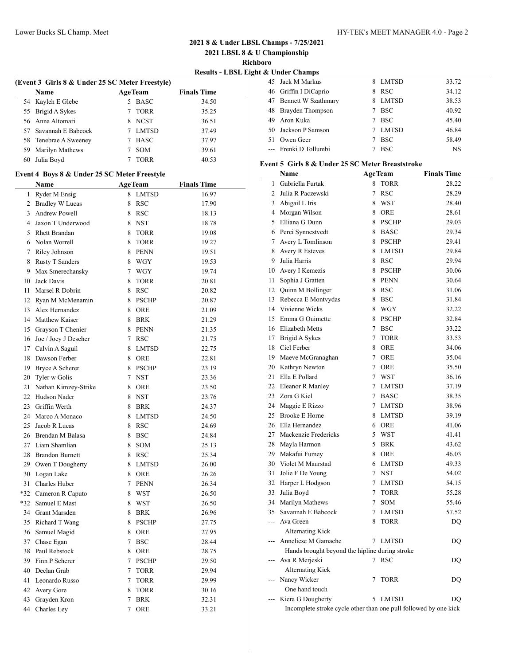# **2021 LBSL 8 & U Championship Richboro Results - LBSL Eight & Under Champs**

| (Event 3 Girls 8 & Under 25 SC Meter Freestyle) |                        |    |                |                    |  |
|-------------------------------------------------|------------------------|----|----------------|--------------------|--|
|                                                 | <b>Name</b>            |    | <b>AgeTeam</b> | <b>Finals Time</b> |  |
|                                                 | 54 Kayleh E Glebe      |    | <b>BASC</b>    | 34.50              |  |
|                                                 | 55 Brigid A Sykes      |    | <b>TORR</b>    | 35.25              |  |
|                                                 | 56 Anna Altomari       | 8. | <b>NCST</b>    | 36.51              |  |
|                                                 | 57 Savannah E Babcock  |    | <b>LMTSD</b>   | 37.49              |  |
|                                                 | 58 Tenebrae A Sweeney  |    | <b>BASC</b>    | 37.97              |  |
| 59                                              | <b>Marilyn Mathews</b> |    | <b>SOM</b>     | 39.61              |  |
| 60                                              | Julia Boyd             |    | TORR           | 40.53              |  |

#### **Event 4 Boys 8 & Under 25 SC Meter Freestyle**

l.

|     | Name                   |                | <b>AgeTeam</b> | <b>Finals Time</b> |
|-----|------------------------|----------------|----------------|--------------------|
|     | 1 Ryder M Ensig        |                | 8 LMTSD        | 16.97              |
|     | 2 Bradley W Lucas      |                | 8 RSC          | 17.90              |
| 3   | <b>Andrew Powell</b>   | 8              | <b>RSC</b>     | 18.13              |
|     | 4 Jaxon T Underwood    |                | 8 NST          | 18.78              |
| 5   | <b>Rhett Brandan</b>   | 8              | <b>TORR</b>    | 19.08              |
|     | 6 Nolan Worrell        | 8              | <b>TORR</b>    | 19.27              |
|     | 7 Riley Johnson        |                | 8 PENN         | 19.51              |
|     | 8 Rusty T Sanders      |                | 8 WGY          | 19.53              |
| 9   | Max Smerechansky       |                | 7 WGY          | 19.74              |
| 10  | Jack Davis             | 8              | <b>TORR</b>    | 20.81              |
| 11  | Marsel R Dobrin        |                | 8 RSC          | 20.82              |
| 12  | Ryan M McMenamin       |                | 8 PSCHP        | 20.87              |
| 13  | Alex Hernandez         |                | 8 ORE          | 21.09              |
|     | 14 Matthew Kaiser      |                | 8 BRK          | 21.29              |
| 15  | Grayson T Chenier      |                | 8 PENN         | 21.35              |
| 16  | Joe / Joey J Descher   |                | 7 RSC          | 21.75              |
| 17  | Calvin A Saguil        |                | 8 LMTSD        | 22.75              |
| 18  | Dawson Ferber          |                | 8 ORE          | 22.81              |
| 19  | Bryce A Scherer        |                | 8 PSCHP        | 23.19              |
|     | 20 Tyler w Golis       |                | 7 NST          | 23.36              |
| 21  | Nathan Kimzey-Strike   |                | 8 ORE          | 23.50              |
| 22  | Hudson Nader           |                | 8 NST          | 23.76              |
| 23  | Griffin Werth          |                | 8 BRK          | 24.37              |
| 24  | Marco A Monaco         |                | 8 LMTSD        | 24.50              |
| 25  | Jacob R Lucas          |                | 8 RSC          | 24.69              |
|     | 26 Brendan M Balasa    |                | 8 BSC          | 24.84              |
| 27  | Liam Shamlian          |                | 8 SOM          | 25.13              |
| 28  | <b>Brandon Burnett</b> |                | 8 RSC          | 25.34              |
| 29  | Owen T Dougherty       |                | 8 LMTSD        | 26.00              |
|     | 30 Logan Lake          |                | 8 ORE          | 26.26              |
| 31  | Charles Huber          |                | 7 PENN         | 26.34              |
|     | *32 Cameron R Caputo   |                | 8 WST          | 26.50              |
| *32 | Samuel E Mast          |                | 8 WST          | 26.50              |
| 34  | Grant Marsden          | 8              | BRK            | 26.96              |
| 35  | Richard T Wang         |                | 8 PSCHP        | 27.75              |
| 36  | Samuel Magid           |                | 8 ORE          | 27.95              |
| 37  | Chase Egan             |                | 7 BSC          | 28.44              |
| 38  | Paul Rebstock          |                | 8 ORE          | 28.75              |
|     | 39 Finn P Scherer      |                | 7 PSCHP        | 29.50              |
| 40  | Declan Grab            | $7^{\circ}$    | <b>TORR</b>    | 29.94              |
| 41  | Leonardo Russo         | $7^{\circ}$    | <b>TORR</b>    | 29.99              |
| 42  | Avery Gore             | 8              | <b>TORR</b>    | 30.16              |
| 43  | Grayden Kron           | $\overline{7}$ | <b>BRK</b>     | 32.31              |
| 44  | Charles Ley            | 7              | ORE            | 33.21              |

| 45 Jack M Markus       |   | LMTSD        | 33.72 |
|------------------------|---|--------------|-------|
| 46 Griffin I DiCaprio  | 8 | <b>RSC</b>   | 34.12 |
| 47 Bennett W Szathmary |   | <b>LMTSD</b> | 38.53 |
| 48 Brayden Thompson    |   | <b>BSC</b>   | 40.92 |
| 49 Aron Kuka           |   | <b>BSC</b>   | 45.40 |
| 50 Jackson P Samson    |   | LMTSD        | 46.84 |
| 51 Owen Geer           |   | <b>BSC</b>   | 58.49 |
| --- Frenki D Tollumbi  |   | <b>BSC</b>   | NS    |

#### **Event 5 Girls 8 & Under 25 SC Meter Breaststroke**

|       | Name                                                             | <b>AgeTeam</b> |              | <b>Finals Time</b> |
|-------|------------------------------------------------------------------|----------------|--------------|--------------------|
|       | 1 Gabriella Furtak                                               |                | 8 TORR       | 28.22              |
|       | 2 Julia R Paczewski                                              |                | 7 RSC        | 28.29              |
|       | 3 Abigail L Iris                                                 |                | 8 WST        | 28.40              |
|       | 4 Morgan Wilson                                                  |                | 8 ORE        | 28.61              |
|       | 5 Elliana G Dunn                                                 |                | 8 PSCHP      | 29.03              |
|       | 6 Perci Synnestvedt                                              |                | 8 BASC       | 29.34              |
|       | 7 Avery L Tomlinson                                              |                | 8 PSCHP      | 29.41              |
|       | 8 Avery R Esteves                                                |                | 8 LMTSD      | 29.84              |
|       | 9 Julia Harris                                                   |                | 8 RSC        | 29.94              |
|       | 10 Avery I Kemezis                                               |                | 8 PSCHP      | 30.06              |
|       | 11 Sophia J Gratten                                              |                | 8 PENN       | 30.64              |
|       | 12 Quinn M Bollinger                                             |                | 8 RSC        | 31.06              |
|       | 13 Rebecca E Montvydas                                           |                | 8 BSC        | 31.84              |
|       | 14 Vivienne Wicks                                                |                | 8 WGY        | 32.22              |
|       | 15 Emma G Ouimette                                               |                | 8 PSCHP      | 32.84              |
|       | 16 Elizabeth Metts                                               |                | 7 BSC        | 33.22              |
|       | 17 Brigid A Sykes                                                | $7^{\circ}$    | <b>TORR</b>  | 33.53              |
|       | 18 Ciel Ferber                                                   |                | 8 ORE        | 34.06              |
|       | 19 Maeve McGranaghan                                             |                | 7 ORE        | 35.04              |
|       | 20 Kathryn Newton                                                |                | 7 ORE        | 35.50              |
|       | 21 Ella E Pollard                                                |                | 7 WST        | 36.16              |
|       | 22 Eleanor R Manley                                              |                | 7 LMTSD      | 37.19              |
|       | 23 Zora G Kiel                                                   |                | 7 BASC       | 38.35              |
|       | 24 Maggie E Rizzo                                                |                | 7 LMTSD      | 38.96              |
|       | 25 Brooke E Horne                                                |                | 8 LMTSD      | 39.19              |
|       | 26 Ella Hernandez                                                |                | 6 ORE        | 41.06              |
|       | 27 Mackenzie Fredericks                                          |                | 5 WST        | 41.41              |
|       | 28 Mayla Harmon                                                  |                | 5 BRK        | 43.62              |
|       | 29 Makafui Fumey                                                 |                | 8 ORE        | 46.03              |
|       | 30 Violet M Maurstad                                             |                | 6 LMTSD      | 49.33              |
|       | 31 Jolie F De Young                                              |                | 7 NST        | 54.02              |
|       | 32 Harper L Hodgson                                              |                | 7 LMTSD      | 54.15              |
|       | 33 Julia Boyd                                                    |                | 7 TORR       | 55.28              |
|       | 34 Marilyn Mathews                                               |                | 7 SOM        | 55.46              |
|       | 35 Savannah E Babcock                                            |                | 7 LMTSD      | 57.52              |
|       | --- Ava Green                                                    | 8              | <b>TORR</b>  | DQ                 |
|       | Alternating Kick                                                 |                |              |                    |
|       | --- Anneliese M Gamache                                          |                | 7 LMTSD      | DQ                 |
|       | Hands brought beyond the hipline during stroke                   |                |              |                    |
|       | Ava R Merjeski                                                   | 7              | <b>RSC</b>   | DQ                 |
|       | <b>Alternating Kick</b>                                          |                |              |                    |
| $---$ | Nancy Wicker                                                     | 7              | TORR         | DQ                 |
|       | One hand touch                                                   |                |              |                    |
| $---$ | Kiera G Dougherty                                                | 5              | <b>LMTSD</b> | DQ                 |
|       | Incomplete stroke cycle other than one pull followed by one kick |                |              |                    |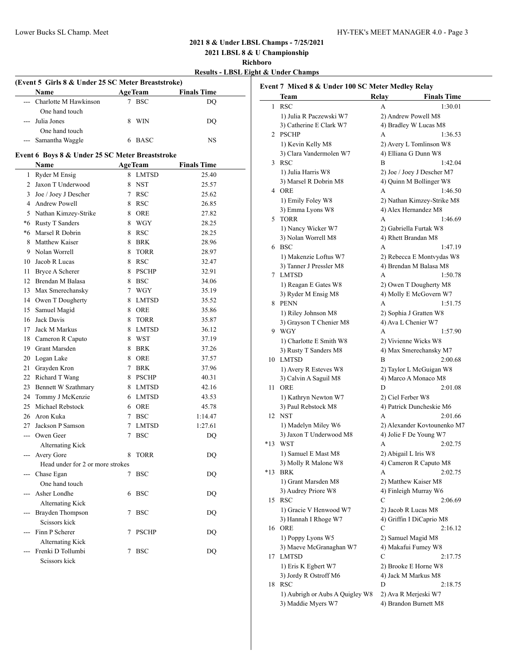**2021 LBSL 8 & U Championship**

**Richboro**

**Results - LBSL Eight & Under Champs**

| (Event 5 Girls 8 & Under 25 SC Meter Breaststroke) |                                                 |        |                |                    |  |
|----------------------------------------------------|-------------------------------------------------|--------|----------------|--------------------|--|
|                                                    | <b>Name</b>                                     |        | <b>AgeTeam</b> | <b>Finals Time</b> |  |
|                                                    | Charlotte M Hawkinson<br>One hand touch         | $\tau$ | <b>BSC</b>     | DO                 |  |
|                                                    | Julia Jones                                     | 8      | WIN            | DQ                 |  |
|                                                    | One hand touch<br>Samantha Waggle               | 6      | <b>BASC</b>    | <b>NS</b>          |  |
|                                                    | Event 6 Boys 8 & Under 25 SC Meter Breaststroke |        |                |                    |  |
|                                                    | <b>Name</b>                                     |        | <b>AgeTeam</b> | <b>Finals Time</b> |  |
| 1                                                  | Ryder M Ensig                                   | 8      | <b>LMTSD</b>   | 25.40              |  |
| $\mathfrak{D}$                                     | Jaxon T Underwood                               | 8      | <b>NST</b>     | 25.57              |  |
| 3                                                  | Joe / Joey J Descher                            | 7      | <b>RSC</b>     | 25.62              |  |
| 4                                                  | Andrew Powell                                   | 8      | <b>RSC</b>     | 26.85              |  |
| 5                                                  | Nathan Kimzey-Strike                            | 8      | <b>ORE</b>     | 27.82              |  |
| *6                                                 | <b>Rusty T Sanders</b>                          | 8      | <b>WGY</b>     | 28.25              |  |
| *6                                                 | Marsel R Dobrin                                 | 8      | <b>RSC</b>     | 28.25              |  |
| 8                                                  | Matthew Kaiser                                  | 8      | <b>BRK</b>     | 28.96              |  |
| 9                                                  | Nolan Worrell                                   | 8      | <b>TORR</b>    | 28.97              |  |
| 10                                                 | Jacob R Lucas                                   | 8      | <b>RSC</b>     | 32.47              |  |
| 11                                                 | Bryce A Scherer                                 | 8      | <b>PSCHP</b>   | 32.91              |  |
| 12                                                 | Brendan M Balasa                                | 8      | <b>BSC</b>     | 34.06              |  |
| 13                                                 | Max Smerechansky                                | 7      | <b>WGY</b>     | 35.19              |  |
| 14                                                 | Owen T Dougherty                                | 8      | <b>LMTSD</b>   | 35.52              |  |
| 15                                                 | Samuel Magid                                    | 8      | <b>ORE</b>     | 35.86              |  |
| 16                                                 | Jack Davis                                      | 8      | <b>TORR</b>    | 35.87              |  |

17 Jack M Markus 8 LMTSD 36.12 18 Cameron R Caputo 8 WST 37.19 19 Grant Marsden 8 BRK 37.26 20 Logan Lake 8 ORE 37.57 21 Grayden Kron 7 BRK 37.96 22 Richard T Wang 8 PSCHP 40.31 23 Bennett W Szathmary 8 LMTSD 42.16 24 Tommy J McKenzie 6 LMTSD 43.53 25 Michael Rebstock 6 ORE 45.78 26 Aron Kuka 7 BSC 1:14.47 27 Jackson P Samson 7 LMTSD 1:27.61 --- Owen Geer 7 BSC DQ

--- Avery Gore 8 TORR DQ

--- Chase Egan 7 BSC DQ

--- Asher Londhe 6 BSC DQ

--- Brayden Thompson 7 BSC DQ

--- Finn P Scherer 7 PSCHP DQ

--- Frenki D Tollumbi 7 BSC DQ

Alternating Kick

One hand touch

Alternating Kick

Alternating Kick

Scissors kick

Scissors kick

Head under for 2 or more strokes

|       | Event 7 Mixed 8 & Under 100 SC Meter Medley Relay |       |                                   |
|-------|---------------------------------------------------|-------|-----------------------------------|
|       | Team                                              | Relay | <b>Finals Time</b>                |
| 1     | <b>RSC</b>                                        | A     | 1:30.01                           |
|       | 1) Julia R Paczewski W7                           |       | 2) Andrew Powell M8               |
|       | 3) Catherine E Clark W7                           |       | 4) Bradley W Lucas M8             |
|       | 2 PSCHP                                           | А     | 1:36.53                           |
|       | 1) Kevin Kelly M8                                 |       | 2) Avery L Tomlinson W8           |
|       | 3) Clara Vandermolen W7                           |       | 4) Elliana G Dunn W8              |
| 3     | <b>RSC</b>                                        | B     | 1:42.04                           |
|       | 1) Julia Harris W8                                |       | 2) Joe / Joey J Descher M7        |
|       | 3) Marsel R Dobrin M8                             |       | 4) Quinn M Bollinger W8           |
|       | 4 ORE                                             | A     | 1:46.50                           |
|       | 1) Emily Foley W8                                 |       | 2) Nathan Kimzey-Strike M8        |
|       | 3) Emma Lyons W8                                  |       | 4) Alex Hernandez M8              |
|       | 5 TORR                                            | A     | 1:46.69                           |
|       | 1) Nancy Wicker W7                                |       | 2) Gabriella Furtak W8            |
|       | 3) Nolan Worrell M8                               |       | 4) Rhett Brandan M8               |
|       | 6 BSC                                             | A     | 1:47.19                           |
|       | 1) Makenzie Loftus W7                             |       |                                   |
|       | 3) Tanner J Pressler M8                           |       | 2) Rebecca E Montvydas W8         |
|       |                                                   |       | 4) Brendan M Balasa M8<br>1:50.78 |
|       | 7 LMTSD                                           | А     |                                   |
|       | 1) Reagan E Gates W8                              |       | 2) Owen T Dougherty M8            |
|       | 3) Ryder M Ensig M8                               |       | 4) Molly E McGovern W7            |
| 8     | <b>PENN</b>                                       | A     | 1:51.75                           |
|       | 1) Riley Johnson M8                               |       | 2) Sophia J Gratten W8            |
|       | 3) Grayson T Chenier M8                           |       | 4) Ava L Chenier W7               |
|       | 9 WGY                                             | A     | 1:57.90                           |
|       | 1) Charlotte E Smith W8                           |       | 2) Vivienne Wicks W8              |
|       | 3) Rusty T Sanders M8                             |       | 4) Max Smerechansky M7            |
|       | 10 LMTSD                                          | B     | 2:00.68                           |
|       | 1) Avery R Esteves W8                             |       | 2) Taylor L McGuigan W8           |
|       | 3) Calvin A Saguil M8                             |       | 4) Marco A Monaco M8              |
| 11    | <b>ORE</b>                                        | D     | 2:01.08                           |
|       | 1) Kathryn Newton W7                              |       | 2) Ciel Ferber W8                 |
|       | 3) Paul Rebstock M8                               |       | 4) Patrick Duncheskie M6          |
|       | 12 NST                                            | А     | 2:01.66                           |
|       | 1) Madelyn Miley W6                               |       | 2) Alexander Kovtounenko M7       |
|       | 3) Jaxon T Underwood M8                           |       | 4) Jolie F De Young W7            |
| $*13$ | WST                                               | А     | 2:02.75                           |
|       | 1) Samuel E Mast M8                               |       | 2) Abigail L Iris W8              |
|       | 3) Molly R Malone W8                              |       | 4) Cameron R Caputo M8            |
| *13   | BRK                                               | А     | 2:02.75                           |
|       | 1) Grant Marsden M8                               |       | 2) Matthew Kaiser M8              |
|       | 3) Audrey Priore W8                               |       | 4) Finleigh Murray W6             |
| 15    | RSC                                               | C     | 2:06.69                           |
|       | 1) Gracie V Henwood W7                            |       | 2) Jacob R Lucas M8               |
|       | 3) Hannah I Rhoge W7                              |       | 4) Griffin I DiCaprio M8          |
|       | 16 ORE                                            | C     | 2:16.12                           |
|       | 1) Poppy Lyons W5                                 |       | 2) Samuel Magid M8                |
|       | 3) Maeve McGranaghan W7                           |       | 4) Makafui Fumey W8               |
| 17    | LMTSD                                             | С     |                                   |
|       |                                                   |       | 2:17.75                           |
|       | 1) Eris K Egbert W7                               |       | 2) Brooke E Horne W8              |
|       | 3) Jordy R Ostroff M6                             |       | 4) Jack M Markus M8               |
|       | 18 RSC                                            | D     | 2:18.75                           |
|       | 1) Aubrigh or Aubs A Quigley W8                   |       | 2) Ava R Merjeski W7              |
|       | 3) Maddie Myers W7                                |       | 4) Brandon Burnett M8             |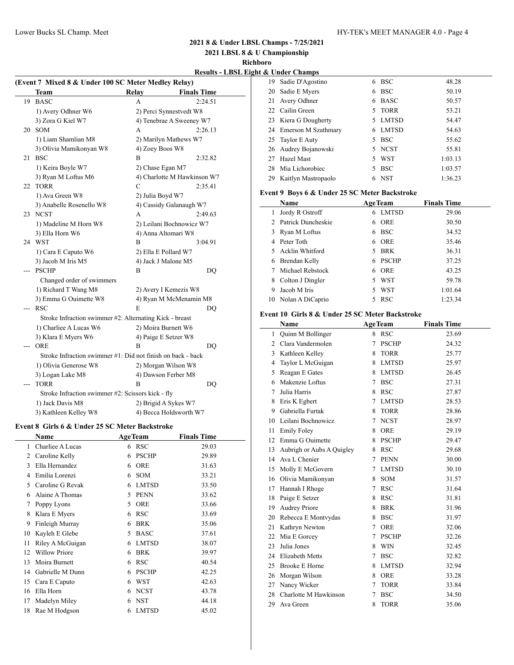**2021 LBSL 8 & U Championship**

**Richboro**

**Results - LBSL Eight & Under Champs**

| (Event 7 Mixed 8 & Under 100 SC Meter Medley Relay) |                                                             |                         |                             |  |
|-----------------------------------------------------|-------------------------------------------------------------|-------------------------|-----------------------------|--|
|                                                     | Team                                                        | Relay                   | <b>Finals Time</b>          |  |
| 19                                                  | <b>BASC</b>                                                 | A                       | 2:24.51                     |  |
|                                                     | 1) Avery Odhner W6                                          | 2) Perci Synnestvedt W8 |                             |  |
|                                                     | 3) Zora G Kiel W7                                           |                         | 4) Tenebrae A Sweeney W7    |  |
| 20                                                  | <b>SOM</b>                                                  | A                       | 2:26.13                     |  |
|                                                     | 1) Liam Shamlian M8                                         | 2) Marilyn Mathews W7   |                             |  |
|                                                     | 3) Olivia Mamikonyan W8                                     | 4) Zoey Boos W8         |                             |  |
| 21                                                  | <b>BSC</b>                                                  | R                       | 2:32.82                     |  |
|                                                     | 1) Keira Boyle W7                                           | 2) Chase Egan M7        |                             |  |
|                                                     | 3) Ryan M Loftus M6                                         |                         | 4) Charlotte M Hawkinson W7 |  |
| 22                                                  | <b>TORR</b>                                                 | C                       | 2:35.41                     |  |
|                                                     | 1) Ava Green W8                                             | 2) Julia Boyd W7        |                             |  |
|                                                     | 3) Anabelle Rosenello W8                                    | 4) Cassidy Galanaugh W7 |                             |  |
| 23                                                  | <b>NCST</b>                                                 | A                       | 2:49.63                     |  |
|                                                     | 1) Madeline M Horn W8                                       |                         | 2) Leilani Bochnowicz W7    |  |
|                                                     | 3) Ella Horn W6                                             | 4) Anna Altomari W8     |                             |  |
|                                                     | 24 WST                                                      | B                       | 3:04.91                     |  |
|                                                     | 1) Cara E Caputo W6                                         | 2) Ella E Pollard W7    |                             |  |
|                                                     | 3) Jacob M Iris M5                                          | 4) Jack J Malone M5     |                             |  |
| ---                                                 | <b>PSCHP</b>                                                | В                       | DQ                          |  |
|                                                     | Changed order of swimmers                                   |                         |                             |  |
|                                                     | 1) Richard T Wang M8                                        | 2) Avery I Kemezis W8   |                             |  |
|                                                     | 3) Emma G Ouimette W8                                       |                         | 4) Ryan M McMenamin M8      |  |
| $---$                                               | <b>RSC</b>                                                  | E                       | DO                          |  |
|                                                     | Stroke Infraction swimmer #2: Alternating Kick - breast     |                         |                             |  |
|                                                     | 1) Charliee A Lucas W6                                      | 2) Moira Burnett W6     |                             |  |
|                                                     | 3) Klara E Myers W6                                         | 4) Paige E Setzer W8    |                             |  |
| ---                                                 | ORE                                                         | B                       | DO                          |  |
|                                                     | Stroke Infraction swimmer #1: Did not finish on back - back |                         |                             |  |
|                                                     | 1) Olivia Generose W8                                       | 2) Morgan Wilson W8     |                             |  |
|                                                     | 3) Logan Lake M8                                            | 4) Dawson Ferber M8     |                             |  |
|                                                     | <b>TORR</b>                                                 | B                       | DQ                          |  |
|                                                     | Stroke Infraction swimmer #2: Scissors kick - fly           |                         |                             |  |
|                                                     | 1) Jack Davis M8                                            | 2) Brigid A Sykes W7    |                             |  |
|                                                     | 3) Kathleen Kelley W8                                       | 4) Becca Holdsworth W7  |                             |  |
|                                                     |                                                             |                         |                             |  |

### **Event 8 Girls 6 & Under 25 SC Meter Backstroke**

|    | Name                 |   | <b>AgeTeam</b> | <b>Finals Time</b> |
|----|----------------------|---|----------------|--------------------|
| 1  | Charliee A Lucas     |   | 6 RSC          | 29.03              |
| 2  | Caroline Kelly       | 6 | <b>PSCHP</b>   | 29.89              |
| 3  | Ella Hernandez       | 6 | <b>ORE</b>     | 31.63              |
| 4  | Emilia Lorenzi       | 6 | <b>SOM</b>     | 33.21              |
| 5  | Caroline G Revak     | 6 | <b>LMTSD</b>   | 33.50              |
| 6  | Alaine A Thomas      | 5 | <b>PENN</b>    | 33.62              |
| 7  | Poppy Lyons          | 5 | <b>ORE</b>     | 33.66              |
| 8  | Klara E Myers        | 6 | <b>RSC</b>     | 33.69              |
| 9  | Finleigh Murray      | 6 | <b>BRK</b>     | 35.06              |
| 10 | Kayleh E Glebe       | 5 | <b>BASC</b>    | 37.61              |
| 11 | Riley A McGuigan     | 6 | <b>LMTSD</b>   | 38.07              |
| 12 | <b>Willow Priore</b> | 6 | <b>BRK</b>     | 39.97              |
| 13 | Moira Burnett        | 6 | <b>RSC</b>     | 40.54              |
| 14 | Gabrielle M Dunn     | 6 | <b>PSCHP</b>   | 42.25              |
| 15 | Cara E Caputo        | 6 | WST            | 42.63              |
| 16 | Ella Horn            | 6 | <b>NCST</b>    | 43.78              |
| 17 | Madelyn Miley        | 6 | <b>NST</b>     | 44.18              |
| 18 | Rae M Hodgson        | 6 | <b>LMTSD</b>   | 45.02              |

| 19 | Sadie D'Agostino       | 6  | <b>BSC</b> | 48.28   |
|----|------------------------|----|------------|---------|
| 20 | Sadie E Myers          |    | 6 BSC      | 50.19   |
| 21 | Avery Odhner           |    | 6 BASC     | 50.57   |
|    | 22 Cailin Green        |    | 5 TORR     | 53.21   |
|    | 23 Kiera G Dougherty   |    | 5 LMTSD    | 54.47   |
|    | 24 Emerson M Szathmary |    | 6 LMTSD    | 54.63   |
|    | 25 Taylor E Auty       | 5. | <b>BSC</b> | 55.62   |
|    | 26 Audrey Bojanowski   |    | 5 NCST     | 55.81   |
| 27 | Hazel Mast             | 5. | WST        | 1:03.13 |
| 28 | Mia Lichorobiec        |    | 5 BSC      | 1:03.57 |
| 29 | Kaitlyn Mastropaolo    | 6  | <b>NST</b> | 1:36.23 |

#### **Event 9 Boys 6 & Under 25 SC Meter Backstroke**

|   | Name                 |    | <b>AgeTeam</b> | <b>Finals Time</b> |
|---|----------------------|----|----------------|--------------------|
|   | Jordy R Ostroff      |    | 6 LMTSD        | 29.06              |
|   | 2 Patrick Duncheskie |    | 6 ORE          | 30.50              |
|   | 3 Ryan M Loftus      | 6  | <b>BSC</b>     | 34.52              |
|   | 4 Peter Toth         |    | 6 ORE          | 35.46              |
|   | 5 Acklin Whitford    | 5. | BRK            | 36.31              |
| 6 | Brendan Kelly        | 6  | <b>PSCHP</b>   | 37.25              |
|   | Michael Rebstock     |    | 6 ORE          | 43.25              |
| 8 | Colton J Dingler     | 5. | WST            | 59.78              |
| 9 | Jacob M Iris         | 5. | WST            | 1:01.64            |
|   | 10 Nolan A DiCaprio  |    | <b>RSC</b>     | 1:23.34            |

#### **Event 10 Girls 8 & Under 25 SC Meter Backstroke**

|                | Name                      |   | <b>AgeTeam</b> | <b>Finals Time</b> |
|----------------|---------------------------|---|----------------|--------------------|
| 1              | Quinn M Bollinger         | 8 | <b>RSC</b>     | 23.69              |
| $\overline{c}$ | Clara Vandermolen         | 7 | <b>PSCHP</b>   | 24.32              |
| 3              | Kathleen Kelley           | 8 | <b>TORR</b>    | 25.77              |
| 4              | Taylor L McGuigan         | 8 | <b>LMTSD</b>   | 25.97              |
| 5              | Reagan E Gates            | 8 | <b>LMTSD</b>   | 26.45              |
| 6              | Makenzie Loftus           | 7 | <b>BSC</b>     | 27.31              |
| 7              | Julia Harris              | 8 | <b>RSC</b>     | 27.87              |
| 8              | Eris K Egbert             | 7 | <b>LMTSD</b>   | 28.53              |
| 9              | Gabriella Furtak          | 8 | <b>TORR</b>    | 28.86              |
| 10             | Leilani Bochnowicz        | 7 | <b>NCST</b>    | 28.97              |
| 11             | <b>Emily Foley</b>        | 8 | <b>ORE</b>     | 29.19              |
| 12             | Emma G Ouimette           | 8 | <b>PSCHP</b>   | 29.47              |
| 13             | Aubrigh or Aubs A Quigley | 8 | <b>RSC</b>     | 29.68              |
| 14             | Ava L Chenier             | 7 | <b>PENN</b>    | 30.00              |
| 15             | Molly E McGovern          | 7 | <b>LMTSD</b>   | 30.10              |
| 16             | Olivia Mamikonyan         | 8 | <b>SOM</b>     | 31.57              |
| 17             | Hannah I Rhoge            | 7 | <b>RSC</b>     | 31.64              |
| 18             | Paige E Setzer            | 8 | <b>RSC</b>     | 31.81              |
| 19             | <b>Audrey Priore</b>      | 8 | <b>BRK</b>     | 31.96              |
| 20             | Rebecca E Montvydas       | 8 | <b>BSC</b>     | 31.97              |
| 21             | Kathryn Newton            | 7 | <b>ORE</b>     | 32.06              |
| 22             | Mia E Gorcey              | 7 | <b>PSCHP</b>   | 32.26              |
| 23             | Julia Jones               | 8 | <b>WIN</b>     | 32.45              |
| 24             | Elizabeth Metts           | 7 | <b>BSC</b>     | 32.82              |
| 25             | <b>Brooke E Horne</b>     | 8 | <b>LMTSD</b>   | 32.94              |
| 26             | Morgan Wilson             | 8 | <b>ORE</b>     | 33.28              |
| 27             | Nancy Wicker              | 7 | <b>TORR</b>    | 33.84              |
| 28             | Charlotte M Hawkinson     | 7 | <b>BSC</b>     | 34.50              |
| 29             | Ava Green                 | 8 | <b>TORR</b>    | 35.06              |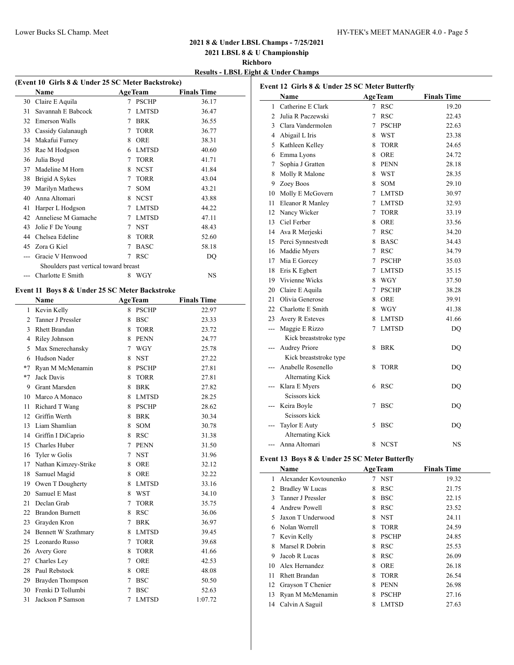**Event 12 Girls 8 & Under 25 SC Meter Butterfly**

# **2021 8 & Under LBSL Champs - 7/25/2021**

**2021 LBSL 8 & U Championship**

**Richboro**

**Results - LBSL Eight & Under Champs**

| (Event 10 Girls 8 & Under 25 SC Meter Backstroke) |                                                        |             |                |                    |  |  |
|---------------------------------------------------|--------------------------------------------------------|-------------|----------------|--------------------|--|--|
|                                                   | Name                                                   |             | <b>AgeTeam</b> | <b>Finals Time</b> |  |  |
| 30                                                | Claire E Aquila                                        |             | 7 PSCHP        | 36.17              |  |  |
| 31                                                | Savannah E Babcock                                     |             | 7 LMTSD        | 36.47              |  |  |
|                                                   | 32 Emerson Walls                                       |             | 7 BRK          | 36.55              |  |  |
|                                                   | 33 Cassidy Galanaugh                                   |             | 7 TORR         | 36.77              |  |  |
|                                                   | 34 Makafui Fumey                                       |             | 8 ORE          | 38.31              |  |  |
|                                                   | 35 Rae M Hodgson                                       |             | 6 LMTSD        | 40.60              |  |  |
|                                                   | 36 Julia Boyd                                          |             | 7 TORR         | 41.71              |  |  |
|                                                   | 37 Madeline M Horn                                     |             | 8 NCST         | 41.84              |  |  |
|                                                   | 38 Brigid A Sykes                                      |             | 7 TORR         | 43.04              |  |  |
|                                                   | 39 Marilyn Mathews                                     |             | 7 SOM          | 43.21              |  |  |
|                                                   | 40 Anna Altomari                                       |             | 8 NCST         | 43.88              |  |  |
| 41                                                | Harper L Hodgson                                       |             | 7 LMTSD        | 44.22              |  |  |
|                                                   | 42 Anneliese M Gamache                                 |             | 7 LMTSD        | 47.11              |  |  |
| 43                                                | Jolie F De Young                                       |             | 7 NST          | 48.43              |  |  |
|                                                   | 44 Chelsea Edeline                                     | 8           | <b>TORR</b>    | 52.60              |  |  |
|                                                   | 45 Zora G Kiel                                         | $7^{\circ}$ | <b>BASC</b>    | 58.18              |  |  |
|                                                   | --- Gracie V Henwood                                   | $7^{\circ}$ | <b>RSC</b>     | DQ                 |  |  |
|                                                   | Shoulders past vertical toward breast                  |             |                |                    |  |  |
|                                                   | --- Charlotte E Smith                                  |             | 8 WGY          | NS                 |  |  |
|                                                   |                                                        |             |                |                    |  |  |
|                                                   | Event 11 Boys 8 & Under 25 SC Meter Backstroke<br>Name |             | <b>AgeTeam</b> | <b>Finals Time</b> |  |  |
|                                                   | 1 Kevin Kelly                                          |             | 8 PSCHP        | 22.97              |  |  |
| $\overline{2}$                                    | Tanner J Pressler                                      | 8           | <b>BSC</b>     | 23.33              |  |  |
|                                                   | 3 Rhett Brandan                                        | 8           | TORR           | 23.72              |  |  |
|                                                   | 4 Riley Johnson                                        |             | 8 PENN         | 24.77              |  |  |
|                                                   |                                                        |             |                |                    |  |  |
|                                                   | 5 Max Smerechansky                                     |             | 7 WGY          | 25.78              |  |  |
|                                                   | 6 Hudson Nader                                         |             | 8 NST          | 27.22              |  |  |
|                                                   | *7 Ryan M McMenamin                                    |             | 8 PSCHP        | 27.81              |  |  |
| $*7$                                              | Jack Davis                                             | 8.          | TORR           | 27.81              |  |  |
| 9                                                 | <b>Grant Marsden</b>                                   |             | 8 BRK          | 27.82              |  |  |
|                                                   | 10 Marco A Monaco                                      |             | 8 LMTSD        | 28.25              |  |  |
| 11                                                | Richard T Wang                                         |             | 8 PSCHP        | 28.62              |  |  |
|                                                   | 12 Griffin Werth                                       |             | 8 BRK          | 30.34              |  |  |
|                                                   | 13 Liam Shamlian                                       |             | 8 SOM          | 30.78              |  |  |
|                                                   | 14 Griffin I DiCaprio                                  |             | 8 RSC          | 31.38              |  |  |
|                                                   | 15 Charles Huber                                       | $7^{\circ}$ | <b>PENN</b>    | 31.50              |  |  |
|                                                   | 16 Tyler w Golis                                       |             | 7 NST          | 31.96              |  |  |
|                                                   | 17 Nathan Kimzey-Strike                                |             | 8 ORE          | 32.12              |  |  |
| 18                                                | Samuel Magid                                           |             | 8 ORE          | 32.22              |  |  |
|                                                   | 19 Owen T Dougherty                                    | 8           | LMTSD          | 33.16              |  |  |
| 20                                                | Samuel E Mast                                          |             | 8 WST          | 34.10              |  |  |
| 21                                                | Declan Grab                                            |             | 7 TORR         | 35.75              |  |  |
|                                                   | 22 Brandon Burnett                                     |             | 8 RSC          | 36.06              |  |  |
|                                                   | 23 Grayden Kron                                        | $7^{\circ}$ | <b>BRK</b>     | 36.97              |  |  |
|                                                   | 24 Bennett W Szathmary                                 |             | 8 LMTSD        | 39.45              |  |  |
|                                                   | 25 Leonardo Russo                                      | 7           | <b>TORR</b>    | 39.68              |  |  |
|                                                   | 26 Avery Gore                                          | 8           | <b>TORR</b>    | 41.66              |  |  |
| 27                                                | Charles Ley                                            | 7           | ORE            | 42.53              |  |  |
|                                                   | 28 Paul Rebstock                                       |             | 8 ORE          | 48.08              |  |  |
|                                                   | 29 Brayden Thompson                                    | 7           | <b>BSC</b>     | 50.50              |  |  |
| 30                                                | Frenki D Tollumbi                                      | 7           | <b>BSC</b>     | 52.63              |  |  |
| 31                                                | Jackson P Samson                                       | 7           | LMTSD          | 1:07.72            |  |  |
|                                                   |                                                        |             |                |                    |  |  |

|                | <b>Name</b>                                   |                 | <b>AgeTeam</b> | <b>Finals Time</b> |
|----------------|-----------------------------------------------|-----------------|----------------|--------------------|
| 1              | Catherine E Clark                             | $\tau$          | <b>RSC</b>     | 19.20              |
| $\overline{2}$ | Julia R Paczewski                             | 7               | <b>RSC</b>     | 22.43              |
| 3              | Clara Vandermolen                             | $\tau$          | <b>PSCHP</b>   | 22.63              |
|                | 4 Abigail L Iris                              | 8               | <b>WST</b>     | 23.38              |
| 5              | Kathleen Kelley                               | 8               | <b>TORR</b>    | 24.65              |
|                | 6 Emma Lyons                                  | 8               | ORE            | 24.72              |
| 7              | Sophia J Gratten                              | 8               | <b>PENN</b>    | 28.18              |
| 8              | Molly R Malone                                | 8               | <b>WST</b>     | 28.35              |
| 9              | Zoey Boos                                     | 8               | SOM            | 29.10              |
| 10             | Molly E McGovern                              | $7\phantom{.0}$ | <b>LMTSD</b>   | 30.97              |
| 11             | Eleanor R Manley                              |                 | 7 LMTSD        | 32.93              |
| 12             | Nancy Wicker                                  | 7               | <b>TORR</b>    | 33.19              |
| 13             | Ciel Ferber                                   | 8               | ORE            | 33.56              |
|                | 14 Ava R Merjeski                             | $\tau$          | <b>RSC</b>     | 34.20              |
|                | 15 Perci Synnestvedt                          | 8               | <b>BASC</b>    | 34.43              |
|                | 16 Maddie Myers                               | $\tau$          | <b>RSC</b>     | 34.79              |
|                | 17 Mia E Gorcey                               | $\tau$          | <b>PSCHP</b>   | 35.03              |
| 18             | Eris K Egbert                                 | 7               | LMTSD          | 35.15              |
|                | 19 Vivienne Wicks                             | 8               | WGY            | 37.50              |
|                | 20 Claire E Aquila                            | 7               | <b>PSCHP</b>   | 38.28              |
| 21             | Olivia Generose                               | 8               | <b>ORE</b>     | 39.91              |
|                | 22 Charlotte E Smith                          | 8               | WGY            | 41.38              |
|                | 23 Avery R Esteves                            | 8               | LMTSD          | 41.66              |
|                | --- Maggie E Rizzo                            | 7               | LMTSD          | DQ                 |
|                | Kick breaststroke type                        |                 |                |                    |
|                | <b>Audrey Priore</b>                          | 8               | <b>BRK</b>     | DQ                 |
|                | Kick breaststroke type                        |                 |                |                    |
|                | Anabelle Rosenello                            | 8               | TORR           | DQ                 |
|                | Alternating Kick                              |                 |                |                    |
| $\overline{a}$ | Klara E Myers                                 | 6               | <b>RSC</b>     | DO                 |
|                | Scissors kick                                 |                 |                |                    |
|                | Keira Boyle                                   | 7               | <b>BSC</b>     | DQ                 |
|                | Scissors kick                                 |                 |                |                    |
| ---            | Taylor E Auty                                 | 5               | <b>BSC</b>     | DQ                 |
|                | <b>Alternating Kick</b>                       |                 |                |                    |
|                | --- Anna Altomari                             | 8               | <b>NCST</b>    | <b>NS</b>          |
|                | Event 13 Boys 8 & Under 25 SC Meter Butterfly |                 |                |                    |

|    | Name                   |   | <b>AgeTeam</b> | <b>Finals Time</b> |  |
|----|------------------------|---|----------------|--------------------|--|
|    | Alexander Kovtounenko  |   | <b>NST</b>     | 19.32              |  |
| 2  | <b>Bradley W Lucas</b> | 8 | <b>RSC</b>     | 21.75              |  |
| 3  | Tanner J Pressler      | 8 | <b>BSC</b>     | 22.15              |  |
| 4  | Andrew Powell          | 8 | <b>RSC</b>     | 23.52              |  |
| 5  | Jaxon T Underwood      | 8 | <b>NST</b>     | 24.11              |  |
| 6  | Nolan Worrell          | 8 | <b>TORR</b>    | 24.59              |  |
| 7  | Kevin Kelly            | 8 | <b>PSCHP</b>   | 24.85              |  |
| 8  | Marsel R Dobrin        | 8 | <b>RSC</b>     | 25.53              |  |
| 9  | Jacob R Lucas          | 8 | <b>RSC</b>     | 26.09              |  |
| 10 | Alex Hernandez         | 8 | <b>ORE</b>     | 26.18              |  |
| 11 | Rhett Brandan          | 8 | <b>TORR</b>    | 26.54              |  |
| 12 | Grayson T Chenier      | 8 | <b>PENN</b>    | 26.98              |  |
| 13 | Ryan M McMenamin       | 8 | <b>PSCHP</b>   | 27.16              |  |
|    | 14 Calvin A Saguil     | 8 | <b>LMTSD</b>   | 27.63              |  |